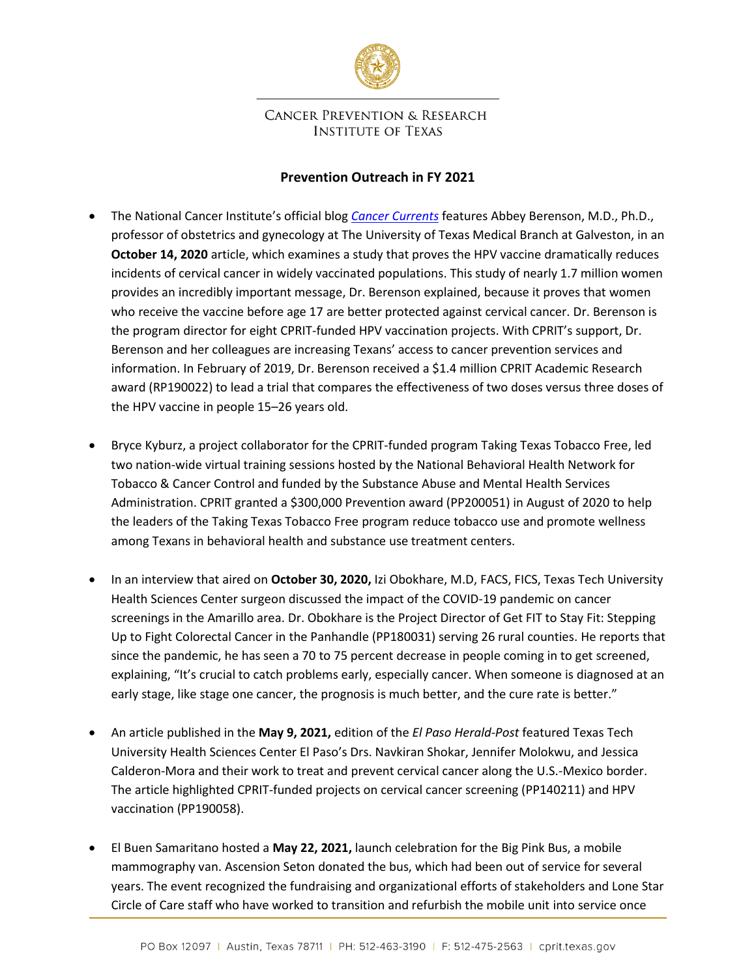

## **CANCER PREVENTION & RESEARCH INSTITUTE OF TEXAS**

## **Prevention Outreach in FY 2021**

- The National Cancer Institute's official blog *[Cancer Currents](https://www.cancer.gov/news-events/cancer-currents-blog/2020/hpv-vaccine-prevents-cervical-cancer-sweden-study)* features Abbey Berenson, M.D., Ph.D., professor of obstetrics and gynecology at The University of Texas Medical Branch at Galveston, in an **October 14, 2020** article, which examines a study that proves the HPV vaccine dramatically reduces incidents of cervical cancer in widely vaccinated populations. This study of nearly 1.7 million women provides an incredibly important message, Dr. Berenson explained, because it proves that women who receive the vaccine before age 17 are better protected against cervical cancer. Dr. Berenson is the program director for eight CPRIT-funded HPV vaccination projects. With CPRIT's support, Dr. Berenson and her colleagues are increasing Texans' access to cancer prevention services and information. In February of 2019, Dr. Berenson received a \$1.4 million CPRIT Academic Research award (RP190022) to lead a trial that compares the effectiveness of two doses versus three doses of the HPV vaccine in people 15–26 years old.
- Bryce Kyburz, a project collaborator for the CPRIT-funded program Taking Texas Tobacco Free, led two nation-wide virtual training sessions hosted by the National Behavioral Health Network for Tobacco & Cancer Control and funded by the Substance Abuse and Mental Health Services Administration. CPRIT granted a \$300,000 Prevention award (PP200051) in August of 2020 to help the leaders of the Taking Texas Tobacco Free program reduce tobacco use and promote wellness among Texans in behavioral health and substance use treatment centers.
- In an interview that aired on **October 30, 2020,** Izi Obokhare, M.D, FACS, FICS, Texas Tech University Health Sciences Center surgeon discussed the impact of the COVID-19 pandemic on cancer screenings in the Amarillo area. Dr. Obokhare is the Project Director of Get FIT to Stay Fit: Stepping Up to Fight Colorectal Cancer in the Panhandle (PP180031) serving 26 rural counties. He reports that since the pandemic, he has seen a 70 to 75 percent decrease in people coming in to get screened, explaining, "It's crucial to catch problems early, especially cancer. When someone is diagnosed at an early stage, like stage one cancer, the prognosis is much better, and the cure rate is better."
- An article published in the **May 9, 2021,** edition of the *El Paso Herald-Post* featured Texas Tech University Health Sciences Center El Paso's Drs. Navkiran Shokar, Jennifer Molokwu, and Jessica Calderon-Mora and their work to treat and prevent cervical cancer along the U.S.-Mexico border. The article highlighted CPRIT-funded projects on cervical cancer screening (PP140211) and HPV vaccination (PP190058).
- El Buen Samaritano hosted a **May 22, 2021,** launch celebration for the Big Pink Bus, a mobile mammography van. Ascension Seton donated the bus, which had been out of service for several years. The event recognized the fundraising and organizational efforts of stakeholders and Lone Star Circle of Care staff who have worked to transition and refurbish the mobile unit into service once